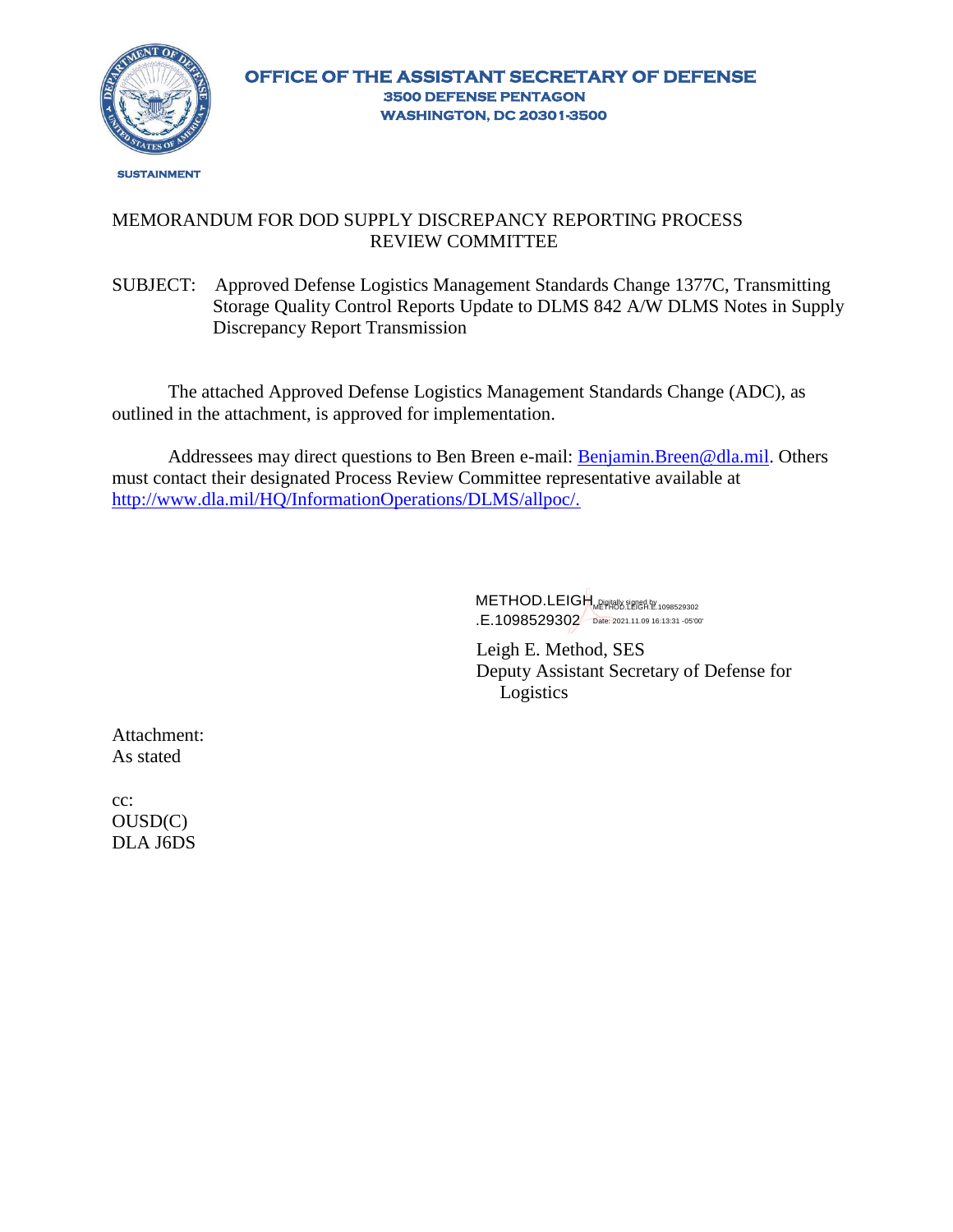

## MEMORANDUM FOR DOD SUPPLY DISCREPANCY REPORTING PROCESS REVIEW COMMITTEE

SUBJECT: Approved Defense Logistics Management Standards Change 1377C, Transmitting Storage Quality Control Reports Update to DLMS 842 A/W DLMS Notes in Supply Discrepancy Report Transmission

The attached Approved Defense Logistics Management Standards Change (ADC), as outlined in the attachment, is approved for implementation.

Addressees may direct questions to Ben Breen e-mail: **Benjamin.Breen@dla.mil.** Others must contact their designated Process Review Committee representative available at [http://www.dla.mil/HQ/InformationOperations/DLMS/allpoc/.](http://www.dla.mil/HQ/InformationOperations/DLMS/allpoc/)

> METHOD.LEIGH NPHANS SERGA BY 1098529302 .E.1098529302 Date: 2021.11.09 16:13:31 -05'00'

Leigh E. Method, SES Deputy Assistant Secretary of Defense for Logistics

Attachment: As stated

cc: OUSD(C) DLA J6DS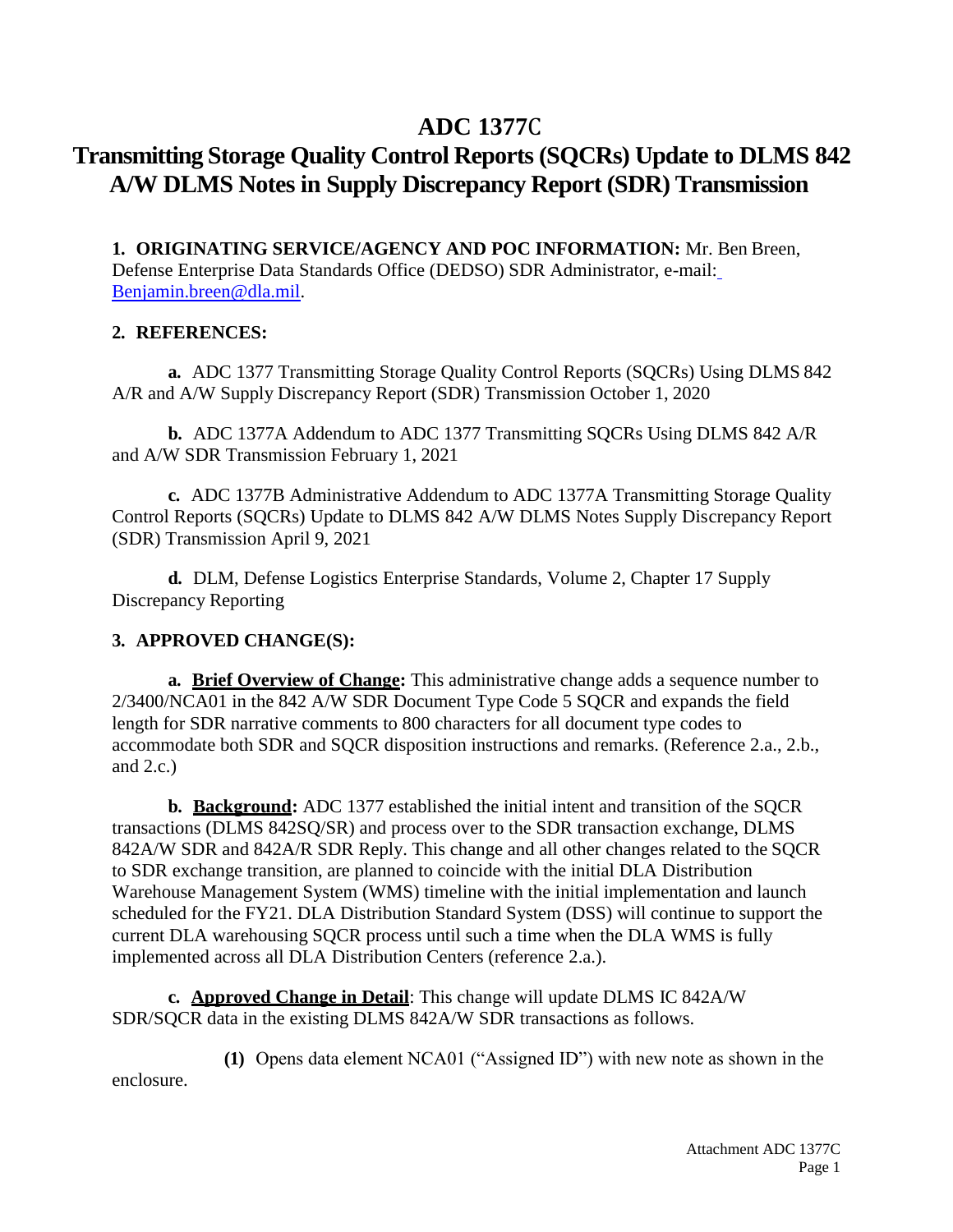# **ADC 1377**C

# **Transmitting Storage Quality Control Reports (SQCRs) Update to DLMS 842 A/W DLMS Notes in Supply Discrepancy Report (SDR) Transmission**

**1. ORIGINATING SERVICE/AGENCY AND POC INFORMATION:** Mr. Ben Breen, Defense Enterprise Data Standards Office (DEDSO) SDR Administrator, e-mail[:](mailto:Benjamin.breen@dla.mil) [Benjamin.breen@dla.mil.](mailto:Benjamin.breen@dla.mil)

## **2. REFERENCES:**

**a.** ADC 1377 Transmitting Storage Quality Control Reports (SQCRs) Using DLMS 842 A/R and A/W Supply Discrepancy Report (SDR) Transmission October 1, 2020

**b.** ADC 1377A Addendum to ADC 1377 Transmitting SQCRs Using DLMS 842 A/R and A/W SDR Transmission February 1, 2021

**c.** ADC 1377B Administrative Addendum to ADC 1377A Transmitting Storage Quality Control Reports (SQCRs) Update to DLMS 842 A/W DLMS Notes Supply Discrepancy Report (SDR) Transmission April 9, 2021

**d.** DLM, Defense Logistics Enterprise Standards, Volume 2, Chapter 17 Supply Discrepancy Reporting

## **3. APPROVED CHANGE(S):**

**a. Brief Overview of Change:** This administrative change adds a sequence number to 2/3400/NCA01 in the 842 A/W SDR Document Type Code 5 SQCR and expands the field length for SDR narrative comments to 800 characters for all document type codes to accommodate both SDR and SQCR disposition instructions and remarks. (Reference 2.a., 2.b., and  $2.c.$ )

**b. Background:** ADC 1377 established the initial intent and transition of the SQCR transactions (DLMS 842SQ/SR) and process over to the SDR transaction exchange, DLMS 842A/W SDR and 842A/R SDR Reply. This change and all other changes related to the SQCR to SDR exchange transition, are planned to coincide with the initial DLA Distribution Warehouse Management System (WMS) timeline with the initial implementation and launch scheduled for the FY21. DLA Distribution Standard System (DSS) will continue to support the current DLA warehousing SQCR process until such a time when the DLA WMS is fully implemented across all DLA Distribution Centers (reference 2.a.).

**c. Approved Change in Detail**: This change will update DLMS IC 842A/W SDR/SQCR data in the existing DLMS 842A/W SDR transactions as follows.

**(1)** Opens data element NCA01 ("Assigned ID") with new note as shown in the enclosure.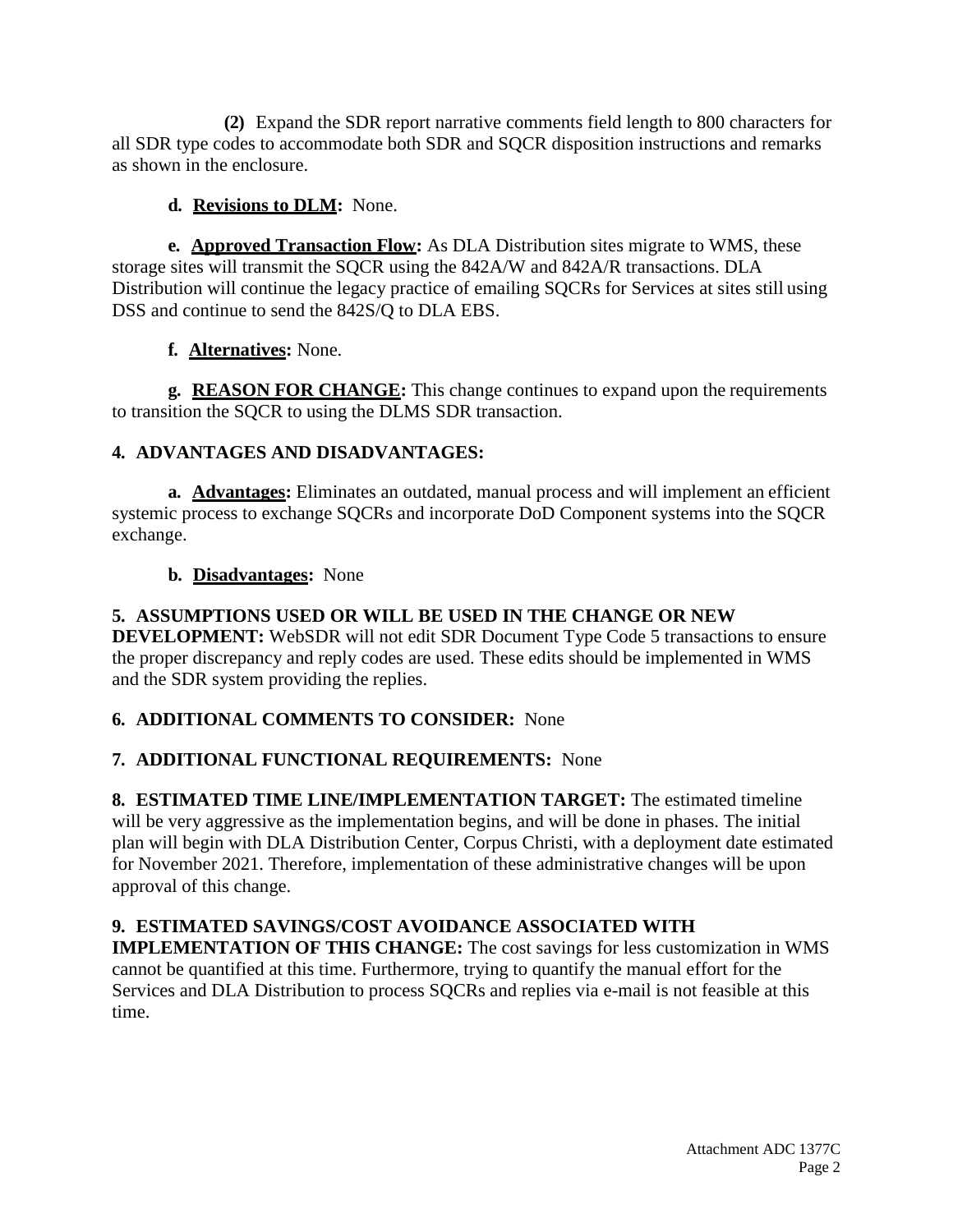**(2)** Expand the SDR report narrative comments field length to 800 characters for all SDR type codes to accommodate both SDR and SQCR disposition instructions and remarks as shown in the enclosure.

# **d. Revisions to DLM:** None.

**e. Approved Transaction Flow:** As DLA Distribution sites migrate to WMS, these storage sites will transmit the SQCR using the 842A/W and 842A/R transactions. DLA Distribution will continue the legacy practice of emailing SQCRs for Services at sites still using DSS and continue to send the 842S/Q to DLA EBS.

# **f. Alternatives:** None.

**g. REASON FOR CHANGE:** This change continues to expand upon the requirements to transition the SQCR to using the DLMS SDR transaction.

# **4. ADVANTAGES AND DISADVANTAGES:**

**a. Advantages:** Eliminates an outdated, manual process and will implement an efficient systemic process to exchange SQCRs and incorporate DoD Component systems into the SQCR exchange.

## **b. Disadvantages:** None

# **5. ASSUMPTIONS USED OR WILL BE USED IN THE CHANGE OR NEW**

**DEVELOPMENT:** WebSDR will not edit SDR Document Type Code 5 transactions to ensure the proper discrepancy and reply codes are used. These edits should be implemented in WMS and the SDR system providing the replies.

# **6. ADDITIONAL COMMENTS TO CONSIDER:** None

## **7. ADDITIONAL FUNCTIONAL REQUIREMENTS:** None

**8. ESTIMATED TIME LINE/IMPLEMENTATION TARGET:** The estimated timeline will be very aggressive as the implementation begins, and will be done in phases. The initial plan will begin with DLA Distribution Center, Corpus Christi, with a deployment date estimated for November 2021. Therefore, implementation of these administrative changes will be upon approval of this change.

# **9. ESTIMATED SAVINGS/COST AVOIDANCE ASSOCIATED WITH**

**IMPLEMENTATION OF THIS CHANGE:** The cost savings for less customization in WMS cannot be quantified at this time. Furthermore, trying to quantify the manual effort for the Services and DLA Distribution to process SQCRs and replies via e-mail is not feasible at this time.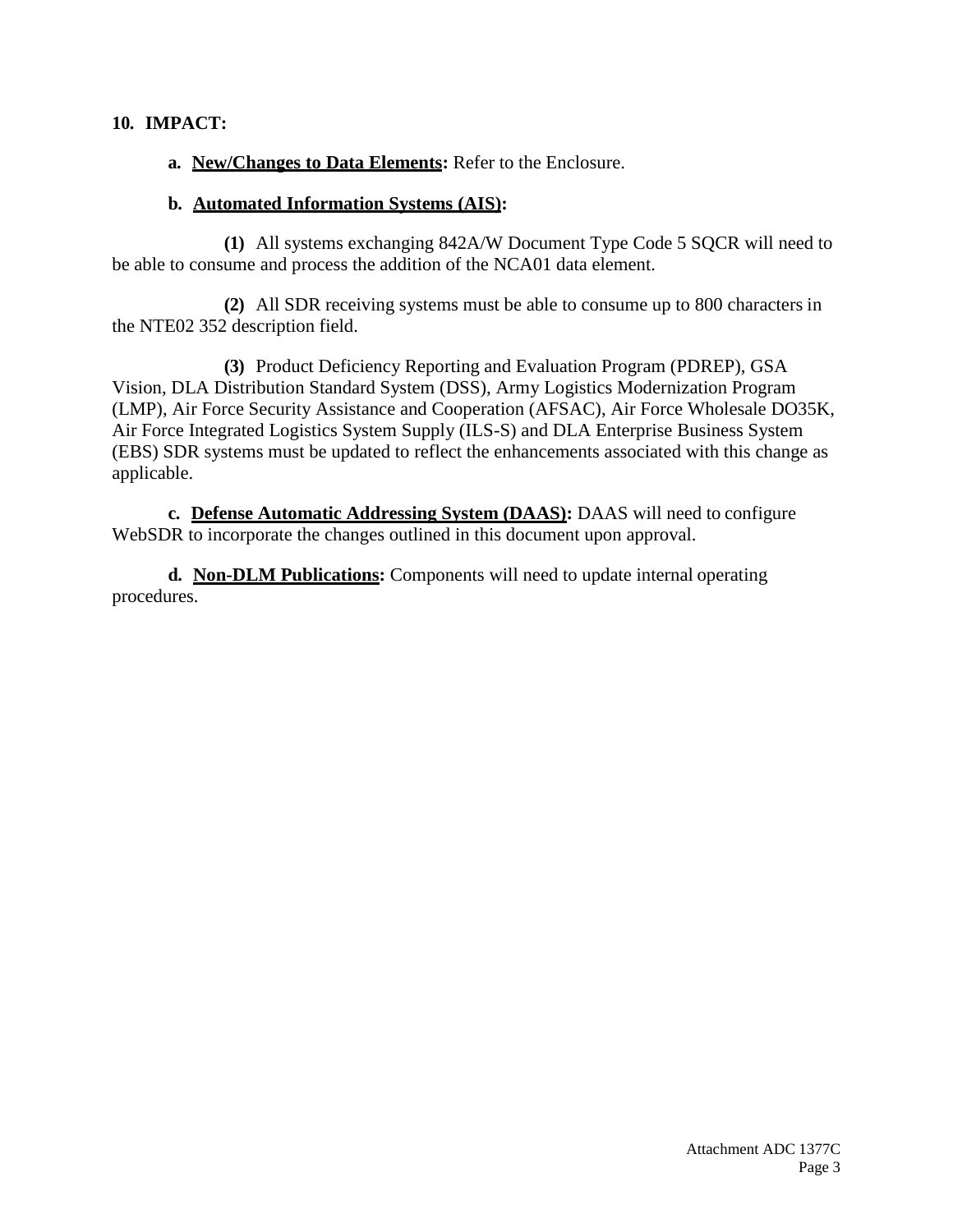#### **10. IMPACT:**

**a. New/Changes to Data Elements:** Refer to the Enclosure.

#### **b. Automated Information Systems (AIS):**

**(1)** All systems exchanging 842A/W Document Type Code 5 SQCR will need to be able to consume and process the addition of the NCA01 data element.

**(2)** All SDR receiving systems must be able to consume up to 800 characters in the NTE02 352 description field.

**(3)** Product Deficiency Reporting and Evaluation Program (PDREP), GSA Vision, DLA Distribution Standard System (DSS), Army Logistics Modernization Program (LMP), Air Force Security Assistance and Cooperation (AFSAC), Air Force Wholesale DO35K, Air Force Integrated Logistics System Supply (ILS-S) and DLA Enterprise Business System (EBS) SDR systems must be updated to reflect the enhancements associated with this change as applicable.

**c. Defense Automatic Addressing System (DAAS):** DAAS will need to configure WebSDR to incorporate the changes outlined in this document upon approval.

**d. Non-DLM Publications:** Components will need to update internal operating procedures.